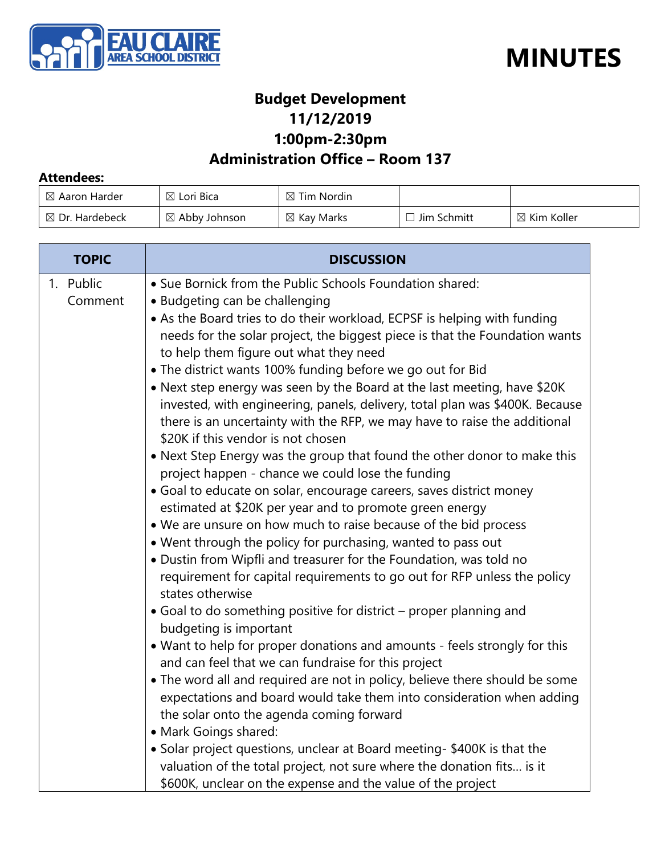



#### **Budget Development 11/12/2019**

**1:00pm-2:30pm**

#### **Administration Office – Room 137**

#### **Attendees:**

| $\boxtimes$ Aaron Harder  | $\boxtimes$ Lori Bica    | ` Tim Nordin I<br>⊠   |             |                        |
|---------------------------|--------------------------|-----------------------|-------------|------------------------|
| $\boxtimes$ Dr. Hardebeck | $\boxtimes$ Abby Johnson | $\boxtimes$ Kay Marks | Jim Schmitt | $\boxtimes$ Kim Koller |

| <b>TOPIC</b>         | <b>DISCUSSION</b>                                                                                                                                                                                                                                                                                                                                                                                                                                                                                                                                                                                                                                                                                                                                                                                                                                                                                                                                                                                                                                                                                                                                                                                                                                                                                                                                                                                                                                            |
|----------------------|--------------------------------------------------------------------------------------------------------------------------------------------------------------------------------------------------------------------------------------------------------------------------------------------------------------------------------------------------------------------------------------------------------------------------------------------------------------------------------------------------------------------------------------------------------------------------------------------------------------------------------------------------------------------------------------------------------------------------------------------------------------------------------------------------------------------------------------------------------------------------------------------------------------------------------------------------------------------------------------------------------------------------------------------------------------------------------------------------------------------------------------------------------------------------------------------------------------------------------------------------------------------------------------------------------------------------------------------------------------------------------------------------------------------------------------------------------------|
| 1. Public<br>Comment | • Sue Bornick from the Public Schools Foundation shared:<br>• Budgeting can be challenging<br>• As the Board tries to do their workload, ECPSF is helping with funding<br>needs for the solar project, the biggest piece is that the Foundation wants<br>to help them figure out what they need<br>• The district wants 100% funding before we go out for Bid<br>• Next step energy was seen by the Board at the last meeting, have \$20K<br>invested, with engineering, panels, delivery, total plan was \$400K. Because<br>there is an uncertainty with the RFP, we may have to raise the additional<br>\$20K if this vendor is not chosen<br>• Next Step Energy was the group that found the other donor to make this<br>project happen - chance we could lose the funding<br>· Goal to educate on solar, encourage careers, saves district money<br>estimated at \$20K per year and to promote green energy<br>. We are unsure on how much to raise because of the bid process<br>. Went through the policy for purchasing, wanted to pass out<br>. Dustin from Wipfli and treasurer for the Foundation, was told no<br>requirement for capital requirements to go out for RFP unless the policy<br>states otherwise<br>• Goal to do something positive for district – proper planning and<br>budgeting is important<br>• Want to help for proper donations and amounts - feels strongly for this<br>and can feel that we can fundraise for this project |
|                      | • The word all and required are not in policy, believe there should be some<br>expectations and board would take them into consideration when adding<br>the solar onto the agenda coming forward<br>• Mark Goings shared:                                                                                                                                                                                                                                                                                                                                                                                                                                                                                                                                                                                                                                                                                                                                                                                                                                                                                                                                                                                                                                                                                                                                                                                                                                    |
|                      | • Solar project questions, unclear at Board meeting- \$400K is that the<br>valuation of the total project, not sure where the donation fits is it<br>\$600K, unclear on the expense and the value of the project                                                                                                                                                                                                                                                                                                                                                                                                                                                                                                                                                                                                                                                                                                                                                                                                                                                                                                                                                                                                                                                                                                                                                                                                                                             |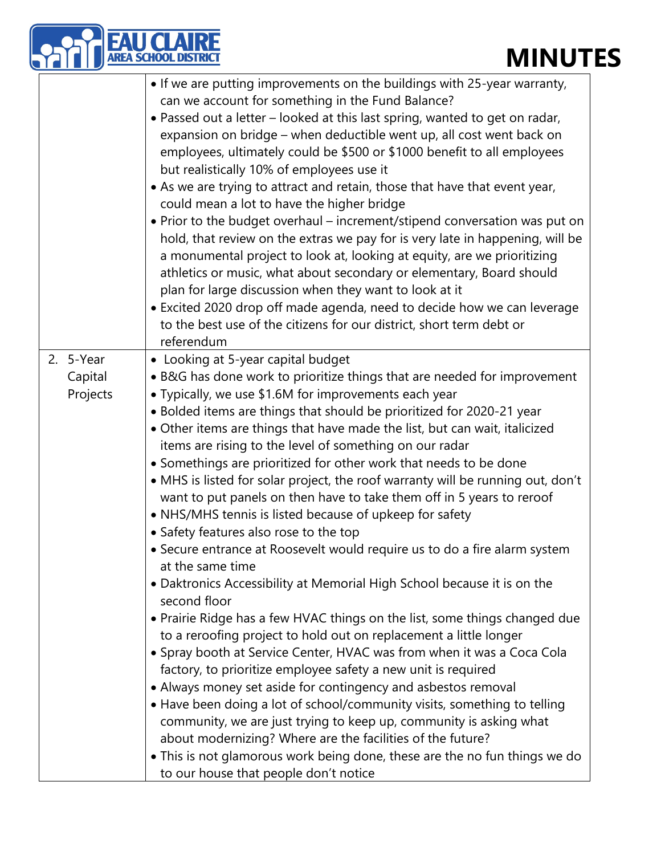|                                  | <b>MINUT</b>                                                                                                                                                                                                                                                                                                                                                                                                                                                                                                                                                                                                                                                                                                                                                                                                                                                                                                                                                                                                                                                                                                                                                                                                                                                                                                                                                                                                                                                                                                                                                                                                                      |
|----------------------------------|-----------------------------------------------------------------------------------------------------------------------------------------------------------------------------------------------------------------------------------------------------------------------------------------------------------------------------------------------------------------------------------------------------------------------------------------------------------------------------------------------------------------------------------------------------------------------------------------------------------------------------------------------------------------------------------------------------------------------------------------------------------------------------------------------------------------------------------------------------------------------------------------------------------------------------------------------------------------------------------------------------------------------------------------------------------------------------------------------------------------------------------------------------------------------------------------------------------------------------------------------------------------------------------------------------------------------------------------------------------------------------------------------------------------------------------------------------------------------------------------------------------------------------------------------------------------------------------------------------------------------------------|
|                                  | • If we are putting improvements on the buildings with 25-year warranty,<br>can we account for something in the Fund Balance?<br>• Passed out a letter - looked at this last spring, wanted to get on radar,<br>expansion on bridge – when deductible went up, all cost went back on<br>employees, ultimately could be \$500 or \$1000 benefit to all employees<br>but realistically 10% of employees use it<br>• As we are trying to attract and retain, those that have that event year,<br>could mean a lot to have the higher bridge<br>• Prior to the budget overhaul - increment/stipend conversation was put on<br>hold, that review on the extras we pay for is very late in happening, will be<br>a monumental project to look at, looking at equity, are we prioritizing<br>athletics or music, what about secondary or elementary, Board should<br>plan for large discussion when they want to look at it<br>• Excited 2020 drop off made agenda, need to decide how we can leverage<br>to the best use of the citizens for our district, short term debt or<br>referendum                                                                                                                                                                                                                                                                                                                                                                                                                                                                                                                                             |
| 2. 5-Year<br>Capital<br>Projects | • Looking at 5-year capital budget<br>• B&G has done work to prioritize things that are needed for improvement<br>• Typically, we use \$1.6M for improvements each year<br>• Bolded items are things that should be prioritized for 2020-21 year<br>• Other items are things that have made the list, but can wait, italicized<br>items are rising to the level of something on our radar<br>• Somethings are prioritized for other work that needs to be done<br>• MHS is listed for solar project, the roof warranty will be running out, don't<br>want to put panels on then have to take them off in 5 years to reroof<br>• NHS/MHS tennis is listed because of upkeep for safety<br>• Safety features also rose to the top<br>• Secure entrance at Roosevelt would require us to do a fire alarm system<br>at the same time<br>• Daktronics Accessibility at Memorial High School because it is on the<br>second floor<br>• Prairie Ridge has a few HVAC things on the list, some things changed due<br>to a reroofing project to hold out on replacement a little longer<br>• Spray booth at Service Center, HVAC was from when it was a Coca Cola<br>factory, to prioritize employee safety a new unit is required<br>• Always money set aside for contingency and asbestos removal<br>• Have been doing a lot of school/community visits, something to telling<br>community, we are just trying to keep up, community is asking what<br>about modernizing? Where are the facilities of the future?<br>• This is not glamorous work being done, these are the no fun things we do<br>to our house that people don't notice |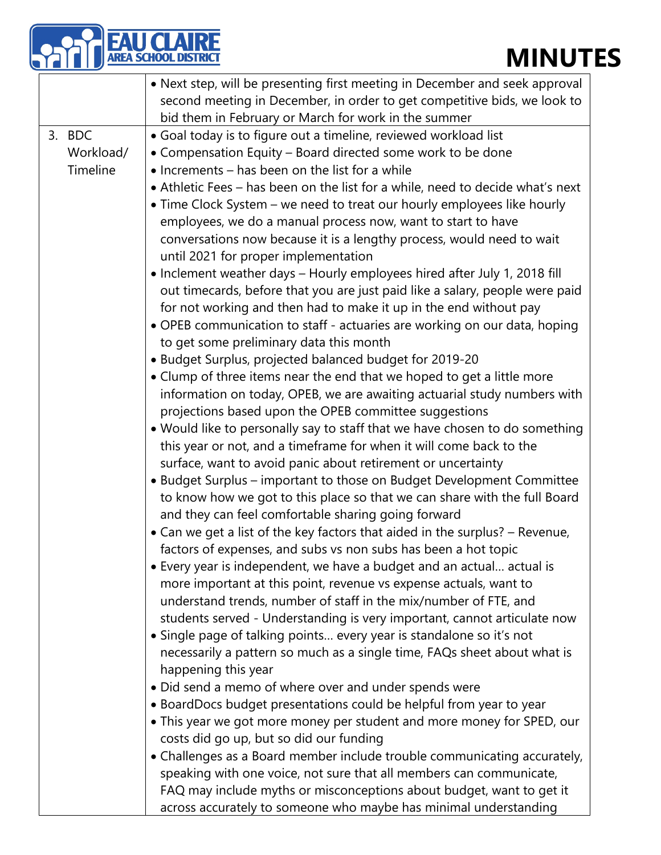# **FAU CLAIRE**<br>AREA SCHOOL DISTRICT

|           | • Next step, will be presenting first meeting in December and seek approval    |  |  |
|-----------|--------------------------------------------------------------------------------|--|--|
|           | second meeting in December, in order to get competitive bids, we look to       |  |  |
|           | bid them in February or March for work in the summer                           |  |  |
| 3. BDC    | • Goal today is to figure out a timeline, reviewed workload list               |  |  |
| Workload/ | • Compensation Equity - Board directed some work to be done                    |  |  |
| Timeline  | • Increments – has been on the list for a while                                |  |  |
|           | • Athletic Fees - has been on the list for a while, need to decide what's next |  |  |
|           | • Time Clock System – we need to treat our hourly employees like hourly        |  |  |
|           | employees, we do a manual process now, want to start to have                   |  |  |
|           | conversations now because it is a lengthy process, would need to wait          |  |  |
|           | until 2021 for proper implementation                                           |  |  |
|           | • Inclement weather days – Hourly employees hired after July 1, 2018 fill      |  |  |
|           | out timecards, before that you are just paid like a salary, people were paid   |  |  |
|           | for not working and then had to make it up in the end without pay              |  |  |
|           | • OPEB communication to staff - actuaries are working on our data, hoping      |  |  |
|           | to get some preliminary data this month                                        |  |  |
|           | • Budget Surplus, projected balanced budget for 2019-20                        |  |  |
|           | • Clump of three items near the end that we hoped to get a little more         |  |  |
|           | information on today, OPEB, we are awaiting actuarial study numbers with       |  |  |
|           | projections based upon the OPEB committee suggestions                          |  |  |
|           | . Would like to personally say to staff that we have chosen to do something    |  |  |
|           | this year or not, and a timeframe for when it will come back to the            |  |  |
|           | surface, want to avoid panic about retirement or uncertainty                   |  |  |
|           | • Budget Surplus - important to those on Budget Development Committee          |  |  |
|           | to know how we got to this place so that we can share with the full Board      |  |  |
|           | and they can feel comfortable sharing going forward                            |  |  |
|           | • Can we get a list of the key factors that aided in the surplus? - Revenue,   |  |  |
|           | factors of expenses, and subs vs non subs has been a hot topic                 |  |  |
|           | • Every year is independent, we have a budget and an actual actual is          |  |  |
|           | more important at this point, revenue vs expense actuals, want to              |  |  |
|           | understand trends, number of staff in the mix/number of FTE, and               |  |  |
|           | students served - Understanding is very important, cannot articulate now       |  |  |
|           | • Single page of talking points every year is standalone so it's not           |  |  |
|           | necessarily a pattern so much as a single time, FAQs sheet about what is       |  |  |
|           | happening this year                                                            |  |  |
|           | • Did send a memo of where over and under spends were                          |  |  |
|           | • BoardDocs budget presentations could be helpful from year to year            |  |  |
|           | • This year we got more money per student and more money for SPED, our         |  |  |
|           | costs did go up, but so did our funding                                        |  |  |
|           | • Challenges as a Board member include trouble communicating accurately,       |  |  |
|           | speaking with one voice, not sure that all members can communicate,            |  |  |
|           | FAQ may include myths or misconceptions about budget, want to get it           |  |  |
|           | across accurately to someone who maybe has minimal understanding               |  |  |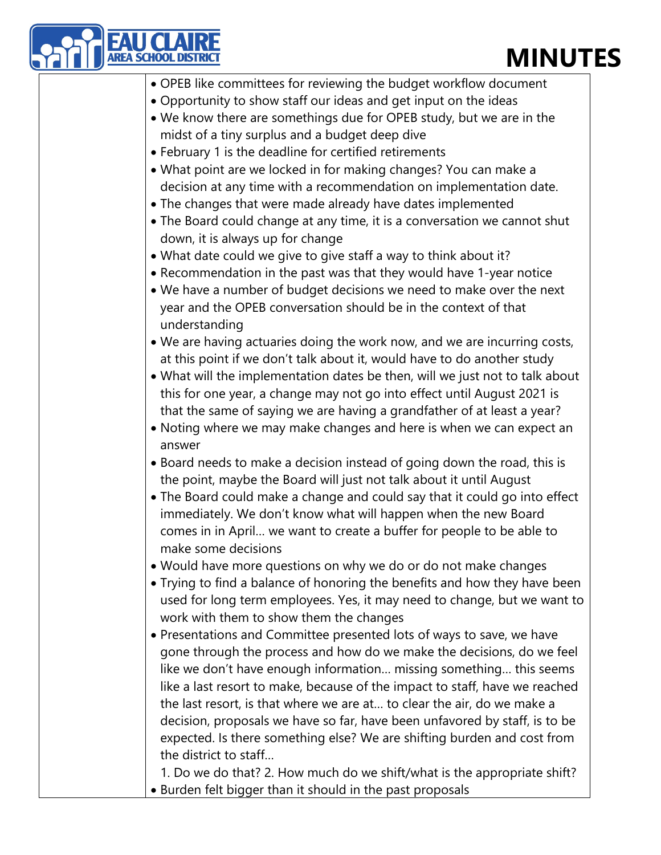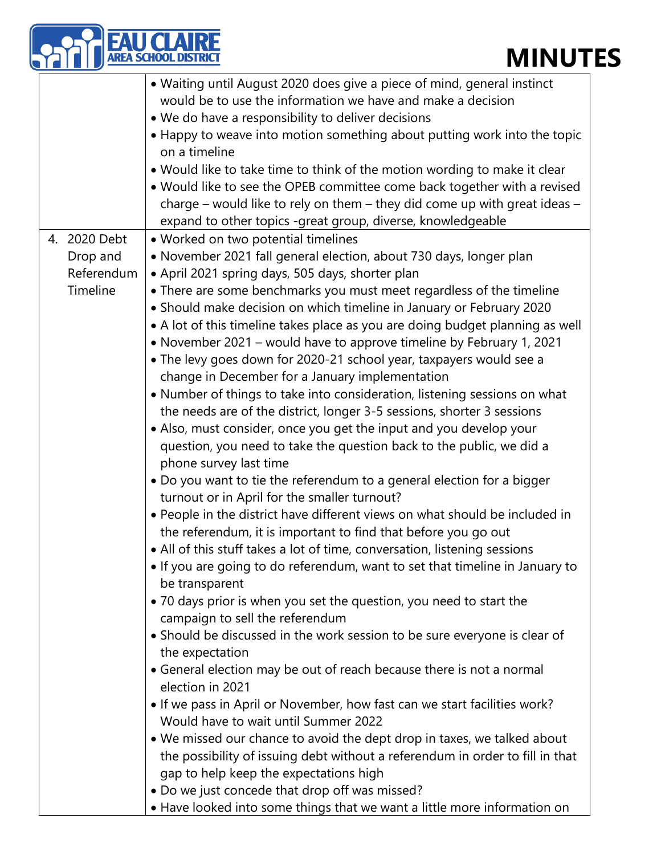|                        | <b>AREA SCHOOL DISTRIC</b><br><b>MINU1</b>                                    |
|------------------------|-------------------------------------------------------------------------------|
|                        | • Waiting until August 2020 does give a piece of mind, general instinct       |
|                        | would be to use the information we have and make a decision                   |
|                        | • We do have a responsibility to deliver decisions                            |
|                        | • Happy to weave into motion something about putting work into the topic      |
|                        | on a timeline                                                                 |
|                        | • Would like to take time to think of the motion wording to make it clear     |
|                        | . Would like to see the OPEB committee come back together with a revised      |
|                        | charge – would like to rely on them – they did come up with great ideas –     |
|                        | expand to other topics -great group, diverse, knowledgeable                   |
| 2020 Debt<br>4.        | • Worked on two potential timelines                                           |
|                        | · November 2021 fall general election, about 730 days, longer plan            |
| Drop and<br>Referendum |                                                                               |
|                        | • April 2021 spring days, 505 days, shorter plan                              |
| Timeline               | • There are some benchmarks you must meet regardless of the timeline          |
|                        | • Should make decision on which timeline in January or February 2020          |
|                        | • A lot of this timeline takes place as you are doing budget planning as well |
|                        | • November 2021 – would have to approve timeline by February 1, 2021          |
|                        | • The levy goes down for 2020-21 school year, taxpayers would see a           |
|                        | change in December for a January implementation                               |
|                        | • Number of things to take into consideration, listening sessions on what     |
|                        | the needs are of the district, longer 3-5 sessions, shorter 3 sessions        |
|                        | • Also, must consider, once you get the input and you develop your            |
|                        | question, you need to take the question back to the public, we did a          |
|                        | phone survey last time                                                        |
|                        | • Do you want to tie the referendum to a general election for a bigger        |
|                        | turnout or in April for the smaller turnout?                                  |
|                        | • People in the district have different views on what should be included in   |
|                        | the referendum, it is important to find that before you go out                |
|                        | • All of this stuff takes a lot of time, conversation, listening sessions     |
|                        | • If you are going to do referendum, want to set that timeline in January to  |
|                        | be transparent                                                                |
|                        | • 70 days prior is when you set the question, you need to start the           |
|                        | campaign to sell the referendum                                               |
|                        | • Should be discussed in the work session to be sure everyone is clear of     |
|                        | the expectation                                                               |
|                        | • General election may be out of reach because there is not a normal          |
|                        | election in 2021                                                              |
|                        | • If we pass in April or November, how fast can we start facilities work?     |
|                        | Would have to wait until Summer 2022                                          |
|                        | . We missed our chance to avoid the dept drop in taxes, we talked about       |
|                        | the possibility of issuing debt without a referendum in order to fill in that |
|                        | gap to help keep the expectations high                                        |
|                        | . Do we just concede that drop off was missed?                                |
|                        | • Have looked into some things that we want a little more information on      |